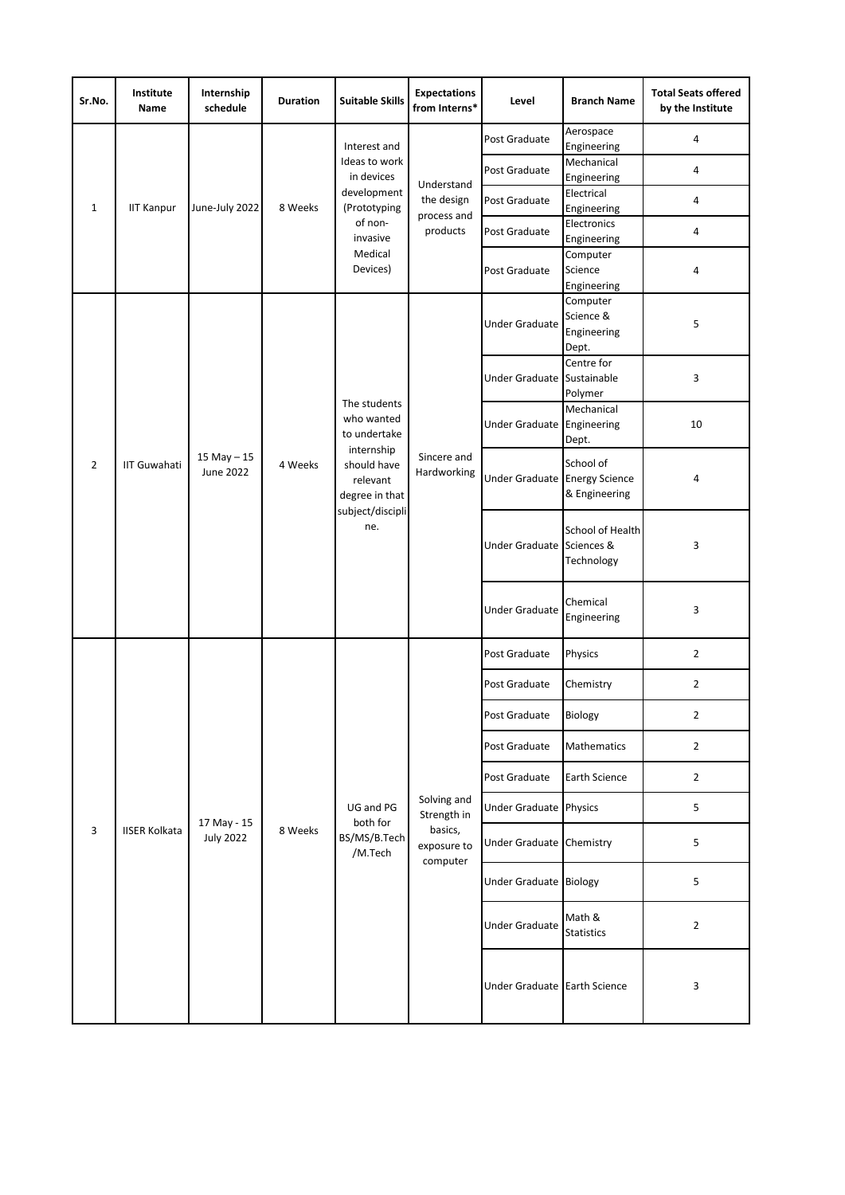| Sr.No.         | Institute<br>Name    | Internship<br>schedule          | <b>Duration</b> | <b>Suitable Skills</b>                                                                                                           | <b>Expectations</b><br>from Interns*                             | Level                         | <b>Branch Name</b>                            | <b>Total Seats offered</b><br>by the Institute |
|----------------|----------------------|---------------------------------|-----------------|----------------------------------------------------------------------------------------------------------------------------------|------------------------------------------------------------------|-------------------------------|-----------------------------------------------|------------------------------------------------|
| 1              | <b>IIT Kanpur</b>    | June-July 2022                  | 8 Weeks         | Interest and<br>Ideas to work<br>in devices<br>development<br>(Prototyping<br>of non-<br>invasive<br>Medical<br>Devices)         | Understand<br>the design<br>process and<br>products              | Post Graduate                 | Aerospace<br>Engineering                      | 4                                              |
|                |                      |                                 |                 |                                                                                                                                  |                                                                  | Post Graduate                 | Mechanical<br>Engineering                     | 4                                              |
|                |                      |                                 |                 |                                                                                                                                  |                                                                  | Post Graduate                 | Electrical<br>Engineering                     | 4                                              |
|                |                      |                                 |                 |                                                                                                                                  |                                                                  | Post Graduate                 | Electronics<br>Engineering                    | 4                                              |
|                |                      |                                 |                 |                                                                                                                                  |                                                                  | Post Graduate                 | Computer<br>Science<br>Engineering            | 4                                              |
| $\overline{2}$ | <b>IIT Guwahati</b>  | $15$ May $-15$<br>June 2022     | 4 Weeks         | The students<br>who wanted<br>to undertake<br>internship<br>should have<br>relevant<br>degree in that<br>subject/discipli<br>ne. | Sincere and<br>Hardworking                                       | <b>Under Graduate</b>         | Computer<br>Science &<br>Engineering<br>Dept. | 5                                              |
|                |                      |                                 |                 |                                                                                                                                  |                                                                  | <b>Under Graduate</b>         | Centre for<br>Sustainable<br>Polymer          | 3                                              |
|                |                      |                                 |                 |                                                                                                                                  |                                                                  | Under Graduate Engineering    | Mechanical<br>Dept.                           | 10                                             |
|                |                      |                                 |                 |                                                                                                                                  |                                                                  | Under Graduate Energy Science | School of<br>& Engineering                    | 4                                              |
|                |                      |                                 |                 |                                                                                                                                  |                                                                  | Under Graduate Sciences &     | School of Health<br>Technology                | 3                                              |
|                |                      |                                 |                 |                                                                                                                                  |                                                                  | <b>Under Graduate</b>         | Chemical<br>Engineering                       | 3                                              |
|                | <b>IISER Kolkata</b> | 17 May - 15<br><b>July 2022</b> | 8 Weeks         | UG and PG<br>both for<br>BS/MS/B.Tech<br>/M.Tech                                                                                 | Solving and<br>Strength in<br>basics,<br>exposure to<br>computer | Post Graduate                 | Physics                                       | $\overline{2}$                                 |
|                |                      |                                 |                 |                                                                                                                                  |                                                                  | Post Graduate                 | Chemistry                                     | $\overline{2}$                                 |
|                |                      |                                 |                 |                                                                                                                                  |                                                                  | Post Graduate                 | Biology                                       | 2                                              |
|                |                      |                                 |                 |                                                                                                                                  |                                                                  | Post Graduate                 | Mathematics                                   | $\overline{2}$                                 |
|                |                      |                                 |                 |                                                                                                                                  |                                                                  | Post Graduate                 | Earth Science                                 | $\overline{2}$                                 |
| 3              |                      |                                 |                 |                                                                                                                                  |                                                                  | Under Graduate Physics        |                                               | 5                                              |
|                |                      |                                 |                 |                                                                                                                                  |                                                                  | Under Graduate Chemistry      |                                               | 5                                              |
|                |                      |                                 |                 |                                                                                                                                  |                                                                  | Under Graduate Biology        |                                               | 5                                              |
|                |                      |                                 |                 |                                                                                                                                  |                                                                  | <b>Under Graduate</b>         | Math &<br><b>Statistics</b>                   | $\overline{2}$                                 |
|                |                      |                                 |                 |                                                                                                                                  |                                                                  | Under Graduate Earth Science  |                                               | 3                                              |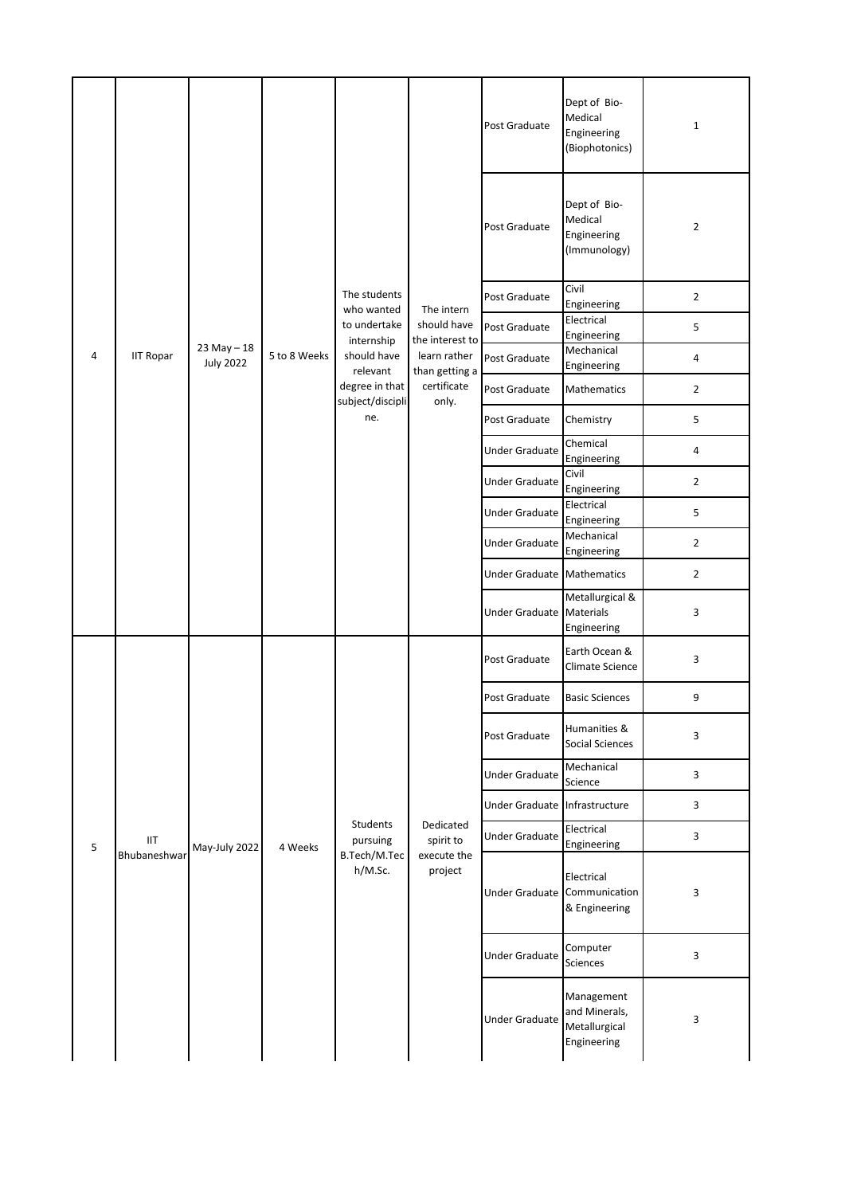|   |                     |                                    |              | The students<br>who wanted<br>to undertake      | The intern<br>should have                         | Post Graduate                 | Dept of Bio-<br>Medical<br>Engineering<br>(Biophotonics)    | $\mathbf{1}$   |
|---|---------------------|------------------------------------|--------------|-------------------------------------------------|---------------------------------------------------|-------------------------------|-------------------------------------------------------------|----------------|
|   |                     |                                    |              |                                                 |                                                   | Post Graduate                 | Dept of Bio-<br>Medical<br>Engineering<br>(Immunology)      | $\overline{2}$ |
|   |                     |                                    |              |                                                 |                                                   | Post Graduate                 | Civil<br>Engineering                                        | $\overline{2}$ |
|   |                     |                                    |              |                                                 |                                                   | Post Graduate                 | Electrical<br>Engineering                                   | 5              |
| 4 | <b>IIT Ropar</b>    | $23$ May $-18$<br><b>July 2022</b> | 5 to 8 Weeks | internship<br>should have<br>relevant           | the interest to<br>learn rather<br>than getting a | Post Graduate                 | Mechanical<br>Engineering                                   | 4              |
|   |                     |                                    |              | degree in that<br>subject/discipli              | certificate<br>only.                              | Post Graduate                 | Mathematics                                                 | $\overline{2}$ |
|   |                     |                                    |              | ne.                                             |                                                   | Post Graduate                 | Chemistry                                                   | 5              |
|   |                     |                                    |              |                                                 |                                                   | <b>Under Graduate</b>         | Chemical<br>Engineering                                     | 4              |
|   |                     |                                    |              |                                                 |                                                   | <b>Under Graduate</b>         | Civil<br>Engineering                                        | $\overline{2}$ |
|   |                     |                                    |              |                                                 |                                                   | <b>Under Graduate</b>         | Electrical<br>Engineering                                   | 5              |
|   |                     |                                    |              |                                                 |                                                   | <b>Under Graduate</b>         | Mechanical<br>Engineering                                   | $\overline{2}$ |
|   |                     |                                    |              |                                                 |                                                   | Under Graduate Mathematics    |                                                             | $\overline{2}$ |
|   |                     |                                    |              |                                                 |                                                   | Under Graduate                | Metallurgical &<br>Materials<br>Engineering                 | 3              |
|   | IIT<br>Bhubaneshwar | May-July 2022                      | 4 Weeks      | Students<br>pursuing<br>B.Tech/M.Tec<br>h/M.Sc. | Dedicated<br>spirit to<br>execute the<br>project  | Post Graduate                 | Earth Ocean &<br>Climate Science                            | 3              |
|   |                     |                                    |              |                                                 |                                                   | Post Graduate                 | <b>Basic Sciences</b>                                       | 9              |
|   |                     |                                    |              |                                                 |                                                   | Post Graduate                 | Humanities &<br><b>Social Sciences</b>                      | 3              |
|   |                     |                                    |              |                                                 |                                                   | <b>Under Graduate</b>         | Mechanical<br>Science                                       | 3              |
|   |                     |                                    |              |                                                 |                                                   | Under Graduate Infrastructure |                                                             | 3              |
| 5 |                     |                                    |              |                                                 |                                                   | <b>Under Graduate</b>         | Electrical<br>Engineering                                   | 3              |
|   |                     |                                    |              |                                                 |                                                   | Under Graduate                | Electrical<br>Communication<br>& Engineering                | 3              |
|   |                     |                                    |              |                                                 |                                                   | <b>Under Graduate</b>         | Computer<br>Sciences                                        | 3              |
|   |                     |                                    |              |                                                 |                                                   | Under Graduate                | Management<br>and Minerals,<br>Metallurgical<br>Engineering | 3              |